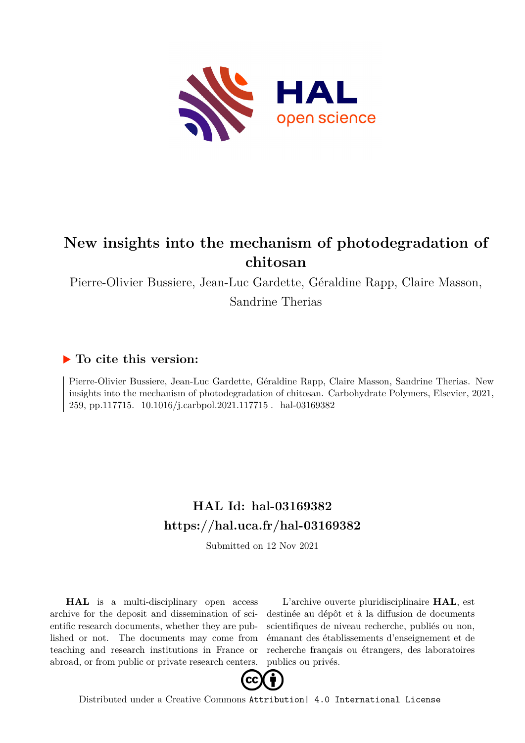

# **New insights into the mechanism of photodegradation of chitosan**

Pierre-Olivier Bussiere, Jean-Luc Gardette, Géraldine Rapp, Claire Masson,

Sandrine Therias

# **To cite this version:**

Pierre-Olivier Bussiere, Jean-Luc Gardette, Géraldine Rapp, Claire Masson, Sandrine Therias. New insights into the mechanism of photodegradation of chitosan. Carbohydrate Polymers, Elsevier, 2021, 259, pp.117715. 10.1016/j.carbpol.2021.117715. hal-03169382

# **HAL Id: hal-03169382 <https://hal.uca.fr/hal-03169382>**

Submitted on 12 Nov 2021

**HAL** is a multi-disciplinary open access archive for the deposit and dissemination of scientific research documents, whether they are published or not. The documents may come from teaching and research institutions in France or abroad, or from public or private research centers.

L'archive ouverte pluridisciplinaire **HAL**, est destinée au dépôt et à la diffusion de documents scientifiques de niveau recherche, publiés ou non, émanant des établissements d'enseignement et de recherche français ou étrangers, des laboratoires publics ou privés.



Distributed under a Creative Commons [Attribution| 4.0 International License](http://creativecommons.org/licenses/by/4.0/)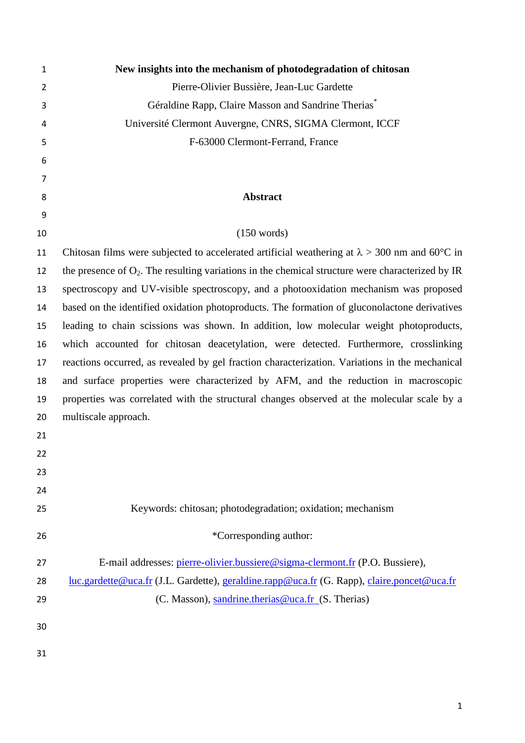| $\mathbf{1}$   | New insights into the mechanism of photodegradation of chitosan                                      |
|----------------|------------------------------------------------------------------------------------------------------|
| $\overline{2}$ | Pierre-Olivier Bussière, Jean-Luc Gardette                                                           |
| 3              | Géraldine Rapp, Claire Masson and Sandrine Therias <sup>®</sup>                                      |
| 4              | Université Clermont Auvergne, CNRS, SIGMA Clermont, ICCF                                             |
| 5              | F-63000 Clermont-Ferrand, France                                                                     |
| 6              |                                                                                                      |
| 7              |                                                                                                      |
| 8              | Abstract                                                                                             |
| 9              |                                                                                                      |
| 10             | $(150 \text{ words})$                                                                                |
| 11             | Chitosan films were subjected to accelerated artificial weathering at $\lambda > 300$ nm and 60°C in |
| 12             | the presence of $O_2$ . The resulting variations in the chemical structure were characterized by IR  |
| 13             | spectroscopy and UV-visible spectroscopy, and a photooxidation mechanism was proposed                |
| 14             | based on the identified oxidation photoproducts. The formation of gluconolactone derivatives         |
| 15             | leading to chain scissions was shown. In addition, low molecular weight photoproducts,               |
| 16             | which accounted for chitosan deacetylation, were detected. Furthermore, crosslinking                 |
| 17             | reactions occurred, as revealed by gel fraction characterization. Variations in the mechanical       |
| 18             | and surface properties were characterized by AFM, and the reduction in macroscopic                   |
| 19             | properties was correlated with the structural changes observed at the molecular scale by a           |
| 20             | multiscale approach.                                                                                 |
| 21             |                                                                                                      |
| 22             |                                                                                                      |
| 23             |                                                                                                      |
| 24             |                                                                                                      |
| 25             | Keywords: chitosan; photodegradation; oxidation; mechanism                                           |
| 26             | *Corresponding author:                                                                               |
|                |                                                                                                      |
| 27             | E-mail addresses: pierre-olivier.bussiere@sigma-clermont.fr (P.O. Bussiere),                         |
| 28             | luc.gardette@uca.fr (J.L. Gardette), geraldine.rapp@uca.fr (G. Rapp), claire.poncet@uca.fr           |
| 29             | (C. Masson), sandrine.therias@uca.fr (S. Therias)                                                    |
| 30             |                                                                                                      |
|                |                                                                                                      |
| 31             |                                                                                                      |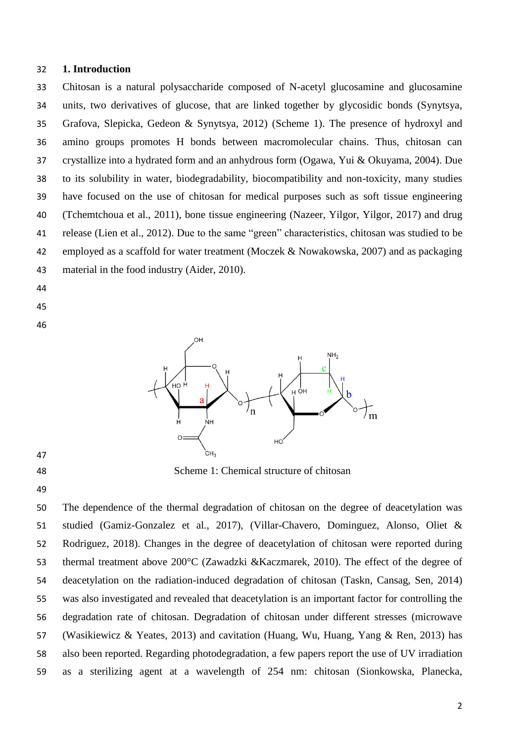#### **1. Introduction**

 Chitosan is a natural polysaccharide composed of N-acetyl glucosamine and glucosamine units, two derivatives of glucose, that are linked together by glycosidic bonds (Synytsya, Grafova, Slepicka, Gedeon & Synytsya, 2012) (Scheme 1). The presence of hydroxyl and amino groups promotes H bonds between macromolecular chains. Thus, chitosan can crystallize into a hydrated form and an anhydrous form (Ogawa, Yui & Okuyama, 2004). Due to its solubility in water, biodegradability, biocompatibility and non-toxicity, many studies have focused on the use of chitosan for medical purposes such as soft tissue engineering (Tchemtchoua et al., 2011), bone tissue engineering (Nazeer, Yilgor, Yilgor, 2017) and drug release (Lien et al., 2012). Due to the same "green" characteristics, chitosan was studied to be employed as a scaffold for water treatment (Moczek & Nowakowska, 2007) and as packaging material in the food industry (Aider, 2010).

- 
- 
- 



- 
- Scheme 1: Chemical structure of chitosan

 The dependence of the thermal degradation of chitosan on the degree of deacetylation was studied (Gamiz-Gonzalez et al*.*, 2017), (Villar-Chavero, Dominguez, Alonso, Oliet & Rodriguez, 2018). Changes in the degree of deacetylation of chitosan were reported during thermal treatment above 200°C (Zawadzki &Kaczmarek, 2010). The effect of the degree of deacetylation on the radiation-induced degradation of chitosan (Taskn, Cansag, Sen, 2014) was also investigated and revealed that deacetylation is an important factor for controlling the degradation rate of chitosan. Degradation of chitosan under different stresses (microwave (Wasikiewicz & Yeates, 2013) and cavitation (Huang, Wu, Huang, Yang & Ren, 2013) has also been reported. Regarding photodegradation, a few papers report the use of UV irradiation as a sterilizing agent at a wavelength of 254 nm: chitosan (Sionkowska, Planecka,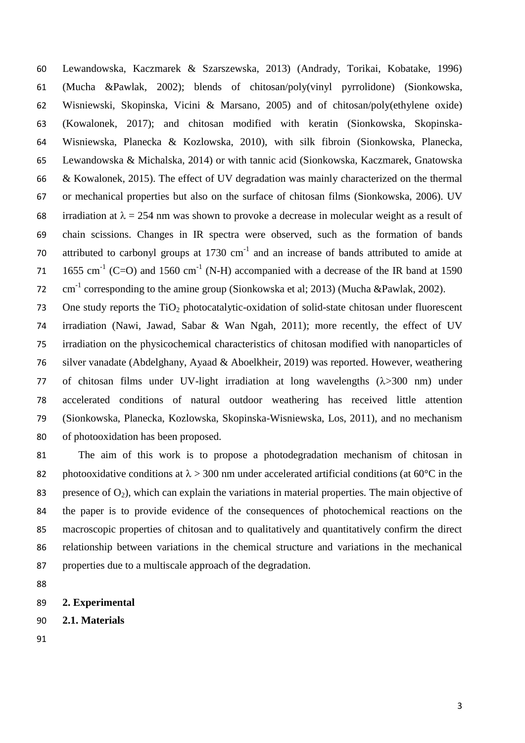Lewandowska, Kaczmarek & Szarszewska, 2013) (Andrady, Torikai, Kobatake, 1996) (Mucha &Pawlak, 2002); blends of chitosan/poly(vinyl pyrrolidone) (Sionkowska, Wisniewski, Skopinska, Vicini & Marsano, 2005) and of chitosan/poly(ethylene oxide) (Kowalonek, 2017); and chitosan modified with keratin (Sionkowska, Skopinska- Wisniewska, Planecka & Kozlowska, 2010), with silk fibroin (Sionkowska, Planecka, Lewandowska & Michalska, 2014) or with tannic acid (Sionkowska, Kaczmarek, Gnatowska & Kowalonek, 2015). The effect of UV degradation was mainly characterized on the thermal or mechanical properties but also on the surface of chitosan films (Sionkowska, 2006). UV 68 irradiation at  $\lambda = 254$  nm was shown to provoke a decrease in molecular weight as a result of chain scissions. Changes in IR spectra were observed, such as the formation of bands 70 attributed to carbonyl groups at  $1730 \text{ cm}^{-1}$  and an increase of bands attributed to amide at 71 1655 cm<sup>-1</sup> (C=O) and 1560 cm<sup>-1</sup> (N-H) accompanied with a decrease of the IR band at 1590 72 cm<sup>-1</sup> corresponding to the amine group (Sionkowska et al; 2013) (Mucha &Pawlak, 2002).

73 One study reports the  $TiO<sub>2</sub>$  photocatalytic-oxidation of solid-state chitosan under fluorescent irradiation (Nawi, Jawad, Sabar & Wan Ngah, 2011); more recently, the effect of UV irradiation on the physicochemical characteristics of chitosan modified with nanoparticles of silver vanadate (Abdelghany, Ayaad & Aboelkheir, 2019) was reported. However, weathering 77 of chitosan films under UV-light irradiation at long wavelengths  $(\lambda > 300 \text{ nm})$  under accelerated conditions of natural outdoor weathering has received little attention (Sionkowska, Planecka, Kozlowska, Skopinska-Wisniewska, Los, 2011), and no mechanism of photooxidation has been proposed.

 The aim of this work is to propose a photodegradation mechanism of chitosan in 82 photooxidative conditions at  $\lambda > 300$  nm under accelerated artificial conditions (at 60°C in the 83 presence of O<sub>2</sub>), which can explain the variations in material properties. The main objective of the paper is to provide evidence of the consequences of photochemical reactions on the macroscopic properties of chitosan and to qualitatively and quantitatively confirm the direct relationship between variations in the chemical structure and variations in the mechanical properties due to a multiscale approach of the degradation.

- 
- **2. Experimental**
- **2.1. Materials**
-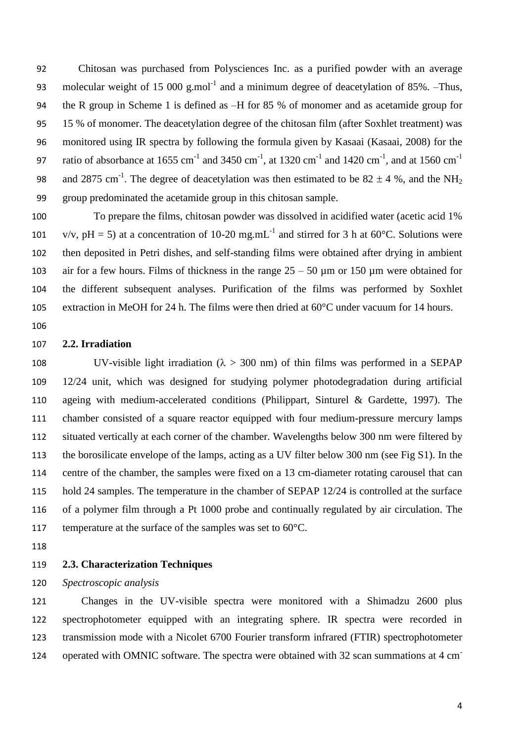Chitosan was purchased from Polysciences Inc. as a purified powder with an average 93 molecular weight of 15 000 g.mol<sup>-1</sup> and a minimum degree of deacetylation of 85%.  $-$ Thus, the R group in Scheme 1 is defined as –H for 85 % of monomer and as acetamide group for 15 % of monomer. The deacetylation degree of the chitosan film (after Soxhlet treatment) was monitored using IR spectra by following the formula given by Kasaai (Kasaai, 2008) for the ratio of absorbance at 1655 cm<sup>-1</sup> and 3450 cm<sup>-1</sup>, at 1320 cm<sup>-1</sup> and 1420 cm<sup>-1</sup>, and at 1560 cm<sup>-1</sup> 98 and 2875 cm<sup>-1</sup>. The degree of deacetylation was then estimated to be  $82 \pm 4$  %, and the NH<sub>2</sub> group predominated the acetamide group in this chitosan sample.

 To prepare the films, chitosan powder was dissolved in acidified water (acetic acid 1% 101 v/v, pH = 5) at a concentration of 10-20 mg.mL<sup>-1</sup> and stirred for 3 h at 60°C. Solutions were then deposited in Petri dishes, and self-standing films were obtained after drying in ambient 103 air for a few hours. Films of thickness in the range  $25 - 50 \mu m$  or 150  $\mu m$  were obtained for the different subsequent analyses. Purification of the films was performed by Soxhlet extraction in MeOH for 24 h. The films were then dried at 60°C under vacuum for 14 hours.

#### **2.2. Irradiation**

108 UV-visible light irradiation  $(\lambda > 300 \text{ nm})$  of thin films was performed in a SEPAP 12/24 unit, which was designed for studying polymer photodegradation during artificial ageing with medium-accelerated conditions (Philippart, Sinturel & Gardette, 1997). The chamber consisted of a square reactor equipped with four medium-pressure mercury lamps situated vertically at each corner of the chamber. Wavelengths below 300 nm were filtered by the borosilicate envelope of the lamps, acting as a UV filter below 300 nm (see Fig S1). In the centre of the chamber, the samples were fixed on a 13 cm-diameter rotating carousel that can hold 24 samples. The temperature in the chamber of SEPAP 12/24 is controlled at the surface of a polymer film through a Pt 1000 probe and continually regulated by air circulation. The 117 temperature at the surface of the samples was set to 60<sup>o</sup>C.

# **2.3. Characterization Techniques**

#### *Spectroscopic analysis*

 Changes in the UV-visible spectra were monitored with a Shimadzu 2600 plus spectrophotometer equipped with an integrating sphere. IR spectra were recorded in transmission mode with a Nicolet 6700 Fourier transform infrared (FTIR) spectrophotometer operated with OMNIC software. The spectra were obtained with 32 scan summations at 4 cm-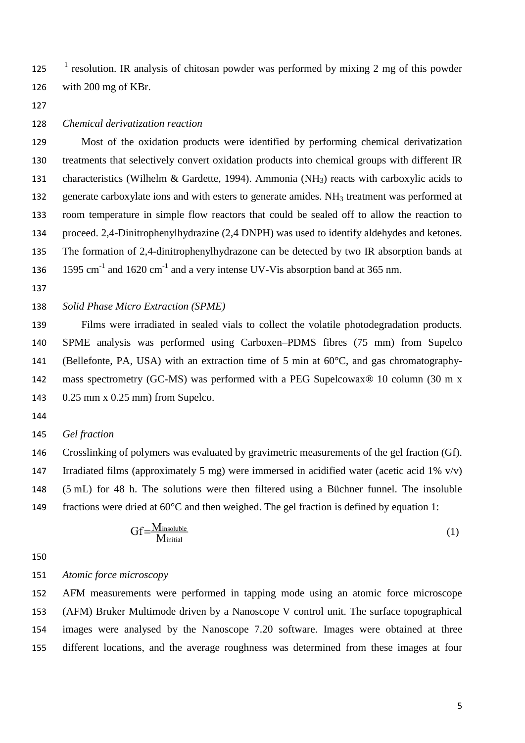125 <sup>1</sup> resolution. IR analysis of chitosan powder was performed by mixing 2 mg of this powder with 200 mg of KBr.

#### *Chemical derivatization reaction*

 Most of the oxidation products were identified by performing chemical derivatization treatments that selectively convert oxidation products into chemical groups with different IR 131 characteristics (Wilhelm & Gardette, 1994). Ammonia (NH<sub>3</sub>) reacts with carboxylic acids to 132 generate carboxylate ions and with esters to generate amides.  $NH<sub>3</sub>$  treatment was performed at room temperature in simple flow reactors that could be sealed off to allow the reaction to proceed. 2,4-Dinitrophenylhydrazine (2,4 DNPH) was used to identify aldehydes and ketones. The formation of 2,4-dinitrophenylhydrazone can be detected by two IR absorption bands at 136 1595 cm<sup>-1</sup> and 1620 cm<sup>-1</sup> and a very intense UV-Vis absorption band at 365 nm.

# *Solid Phase Micro Extraction (SPME)*

 Films were irradiated in sealed vials to collect the volatile photodegradation products. SPME analysis was performed using Carboxen–PDMS fibres (75 mm) from Supelco (Bellefonte, PA, USA) with an extraction time of 5 min at 60°C, and gas chromatography- mass spectrometry (GC-MS) was performed with a PEG Supelcowax® 10 column (30 m x 0.25 mm x 0.25 mm) from Supelco.

*Gel fraction*

 Crosslinking of polymers was evaluated by gravimetric measurements of the gel fraction (Gf). Irradiated films (approximately 5 mg) were immersed in acidified water (acetic acid 1% v/v) (5 mL) for 48 h. The solutions were then filtered using a Büchner funnel. The insoluble fractions were dried at 60°C and then weighed. The gel fraction is defined by equation 1:

$$
Gf = \frac{M_{\text{insoluble}}}{M_{\text{initial}}} \tag{1}
$$

# *Atomic force microscopy*

 AFM measurements were performed in tapping mode using an atomic force microscope (AFM) Bruker Multimode driven by a Nanoscope V control unit. The surface topographical images were analysed by the Nanoscope 7.20 software. Images were obtained at three different locations, and the average roughness was determined from these images at four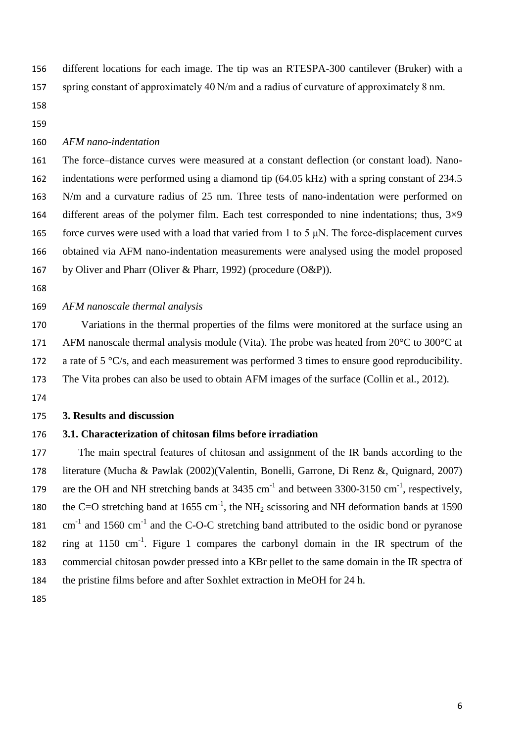different locations for each image. The tip was an RTESPA-300 cantilever (Bruker) with a spring constant of approximately 40 N/m and a radius of curvature of approximately 8 nm.

- 
- 

# *AFM nano-indentation*

 The force–distance curves were measured at a constant deflection (or constant load). Nano-162 indentations were performed using a diamond tip (64.05 kHz) with a spring constant of 234.5 N/m and a curvature radius of 25 nm. Three tests of nano-indentation were performed on different areas of the polymer film. Each test corresponded to nine indentations; thus, 3×9 165 force curves were used with a load that varied from 1 to 5  $\mu$ N. The force-displacement curves obtained via AFM nano-indentation measurements were analysed using the model proposed by Oliver and Pharr (Oliver & Pharr, 1992) (procedure (O&P)).

# *AFM nanoscale thermal analysis*

 Variations in the thermal properties of the films were monitored at the surface using an 171 AFM nanoscale thermal analysis module (Vita). The probe was heated from 20 °C to 300 °C at 172 a rate of  $5 \text{ °C/s}$ , and each measurement was performed 3 times to ensure good reproducibility. The Vita probes can also be used to obtain AFM images of the surface (Collin et al*.*, 2012).

#### **3. Results and discussion**

# **3.1. Characterization of chitosan films before irradiation**

 The main spectral features of chitosan and assignment of the IR bands according to the literature (Mucha & Pawlak (2002)(Valentin, Bonelli, Garrone, Di Renz &, Quignard, 2007) 179 are the OH and NH stretching bands at  $3435 \text{ cm}^{-1}$  and between  $3300\text{-}3150 \text{ cm}^{-1}$ , respectively, 180 the C=O stretching band at 1655 cm<sup>-1</sup>, the NH<sub>2</sub> scissoring and NH deformation bands at 1590  $\text{cm}^{-1}$  and 1560 cm<sup>-1</sup> and the C-O-C stretching band attributed to the osidic bond or pyranose 182 ring at 1150 cm<sup>-1</sup>. Figure 1 compares the carbonyl domain in the IR spectrum of the commercial chitosan powder pressed into a KBr pellet to the same domain in the IR spectra of the pristine films before and after Soxhlet extraction in MeOH for 24 h.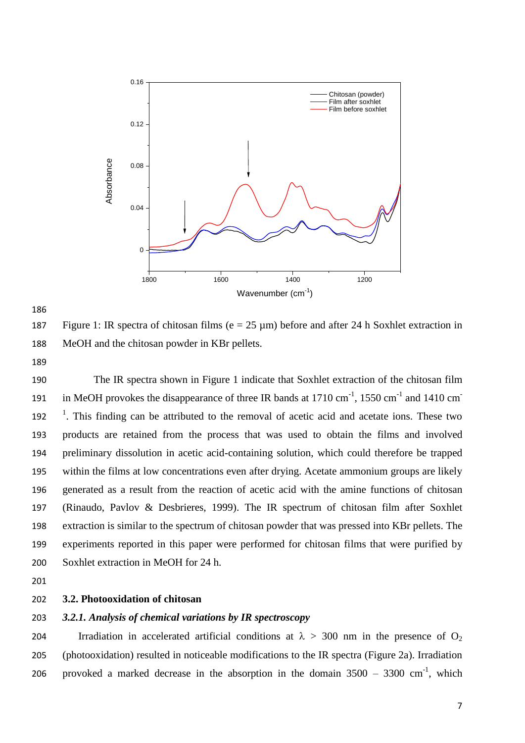

 Figure 1: IR spectra of chitosan films (e = 25 µm) before and after 24 h Soxhlet extraction in MeOH and the chitosan powder in KBr pellets.

 The IR spectra shown in Figure 1 indicate that Soxhlet extraction of the chitosan film in MeOH provokes the disappearance of three IR bands at  $1710 \text{ cm}^{-1}$ ,  $1550 \text{ cm}^{-1}$  and  $1410 \text{ cm}^{-1}$   $\frac{1}{1}$ . This finding can be attributed to the removal of acetic acid and acetate ions. These two products are retained from the process that was used to obtain the films and involved preliminary dissolution in acetic acid-containing solution, which could therefore be trapped within the films at low concentrations even after drying. Acetate ammonium groups are likely generated as a result from the reaction of acetic acid with the amine functions of chitosan (Rinaudo, Pavlov & Desbrieres, 1999). The IR spectrum of chitosan film after Soxhlet extraction is similar to the spectrum of chitosan powder that was pressed into KBr pellets. The experiments reported in this paper were performed for chitosan films that were purified by Soxhlet extraction in MeOH for 24 h.

#### **3.2. Photooxidation of chitosan**

### *3.2.1. Analysis of chemical variations by IR spectroscopy*

204 Irradiation in accelerated artificial conditions at  $\lambda > 300$  nm in the presence of O<sub>2</sub> (photooxidation) resulted in noticeable modifications to the IR spectra (Figure 2a). Irradiation 206 provoked a marked decrease in the absorption in the domain  $3500 - 3300$  cm<sup>-1</sup>, which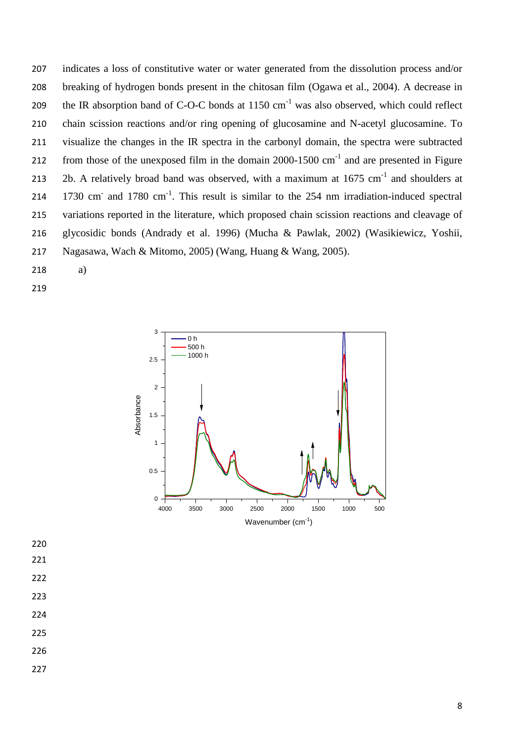indicates a loss of constitutive water or water generated from the dissolution process and/or breaking of hydrogen bonds present in the chitosan film (Ogawa et al., 2004). A decrease in 209 the IR absorption band of C-O-C bonds at  $1150 \text{ cm}^{-1}$  was also observed, which could reflect chain scission reactions and/or ring opening of glucosamine and N-acetyl glucosamine. To visualize the changes in the IR spectra in the carbonyl domain, the spectra were subtracted 212 from those of the unexposed film in the domain  $2000-1500$  cm<sup>-1</sup> and are presented in Figure 213 2b. A relatively broad band was observed, with a maximum at  $1675 \text{ cm}^{-1}$  and shoulders at  $1730 \text{ cm}^{-1}$  and  $1780 \text{ cm}^{-1}$ . This result is similar to the 254 nm irradiation-induced spectral variations reported in the literature, which proposed chain scission reactions and cleavage of glycosidic bonds (Andrady et al. 1996) (Mucha & Pawlak, 2002) (Wasikiewicz, Yoshii, Nagasawa, Wach & Mitomo, 2005) (Wang, Huang & Wang, 2005).

- a)
- 



- 
- 
- 
- 
- 
- 
- 
-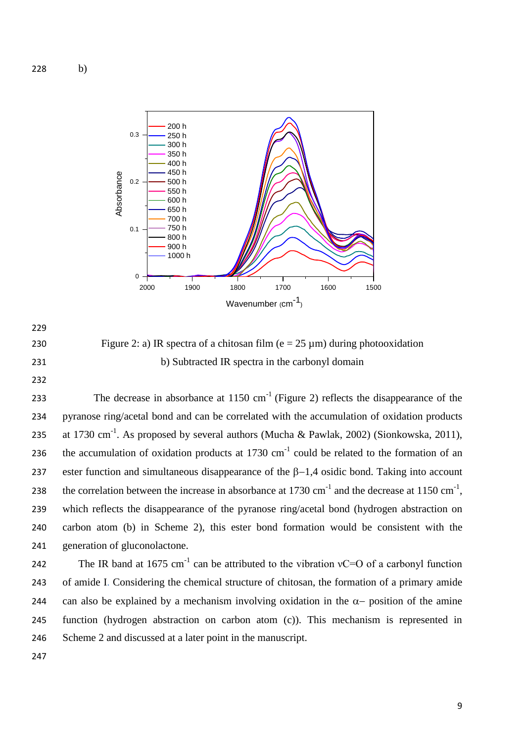228 b)



229

232

230 Figure 2: a) IR spectra of a chitosan film  $(e = 25 \mu m)$  during photooxidation 231 b) Subtracted IR spectra in the carbonyl domain

233 The decrease in absorbance at  $1150 \text{ cm}^{-1}$  (Figure 2) reflects the disappearance of the 234 pyranose ring/acetal bond and can be correlated with the accumulation of oxidation products 235 at 1730 cm<sup>-1</sup>. As proposed by several authors (Mucha & Pawlak, 2002) (Sionkowska, 2011), 236 the accumulation of oxidation products at  $1730 \text{ cm}^{-1}$  could be related to the formation of an 237 ester function and simultaneous disappearance of the  $\beta$ -1.4 osidic bond. Taking into account 238 the correlation between the increase in absorbance at 1730 cm<sup>-1</sup> and the decrease at 1150 cm<sup>-1</sup>, 239 which reflects the disappearance of the pyranose ring/acetal bond (hydrogen abstraction on 240 carbon atom (b) in Scheme 2), this ester bond formation would be consistent with the 241 generation of gluconolactone.

242 The IR band at 1675 cm<sup>-1</sup> can be attributed to the vibration  $vC=O$  of a carbonyl function 243 of amide I. Considering the chemical structure of chitosan, the formation of a primary amide 244 can also be explained by a mechanism involving oxidation in the  $\alpha$ -position of the amine 245 function (hydrogen abstraction on carbon atom (c)). This mechanism is represented in 246 Scheme 2 and discussed at a later point in the manuscript.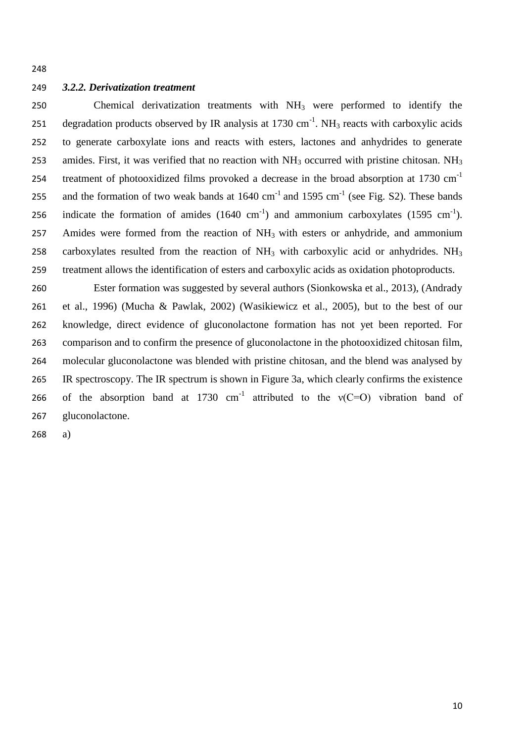# *3.2.2. Derivatization treatment*

 Chemical derivatization treatments with NH<sup>3</sup> were performed to identify the 251 degradation products observed by IR analysis at  $1730 \text{ cm}^{-1}$ . NH<sub>3</sub> reacts with carboxylic acids to generate carboxylate ions and reacts with esters, lactones and anhydrides to generate 253 amides. First, it was verified that no reaction with  $NH_3$  occurred with pristine chitosan. NH<sub>3</sub> treatment of photooxidized films provoked a decrease in the broad absorption at  $1730 \text{ cm}^{-1}$  255 and the formation of two weak bands at  $1640 \text{ cm}^{-1}$  and  $1595 \text{ cm}^{-1}$  (see Fig. S2). These bands 256 indicate the formation of amides  $(1640 \text{ cm}^{-1})$  and ammonium carboxylates  $(1595 \text{ cm}^{-1})$ . 257 Amides were formed from the reaction of NH<sub>3</sub> with esters or anhydride, and ammonium 258 carboxylates resulted from the reaction of  $NH_3$  with carboxylic acid or anhydrides.  $NH_3$ treatment allows the identification of esters and carboxylic acids as oxidation photoproducts.

 Ester formation was suggested by several authors (Sionkowska et al., 2013), (Andrady et al., 1996) (Mucha & Pawlak, 2002) (Wasikiewicz et al., 2005), but to the best of our knowledge, direct evidence of gluconolactone formation has not yet been reported. For comparison and to confirm the presence of gluconolactone in the photooxidized chitosan film, molecular gluconolactone was blended with pristine chitosan, and the blend was analysed by IR spectroscopy. The IR spectrum is shown in Figure 3a, which clearly confirms the existence 266 of the absorption band at 1730  $cm^{-1}$  attributed to the  $v(C=O)$  vibration band of gluconolactone.

a)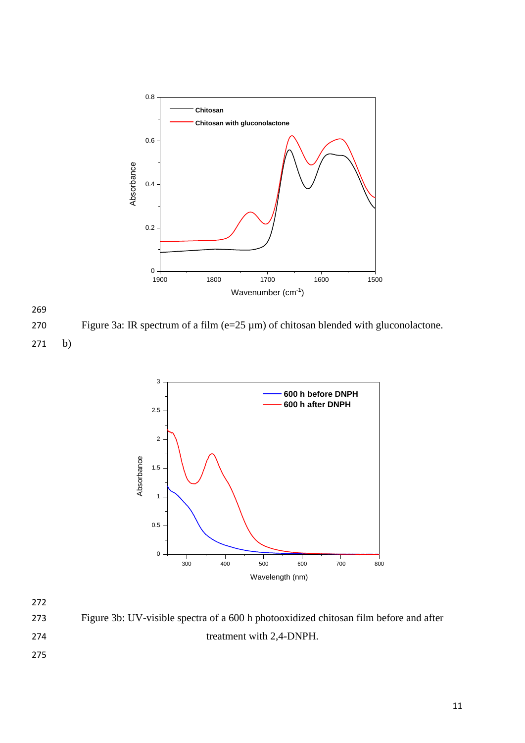

269

270 Figure 3a: IR spectrum of a film  $(e=25 \mu m)$  of chitosan blended with gluconolactone. 271 b)



272

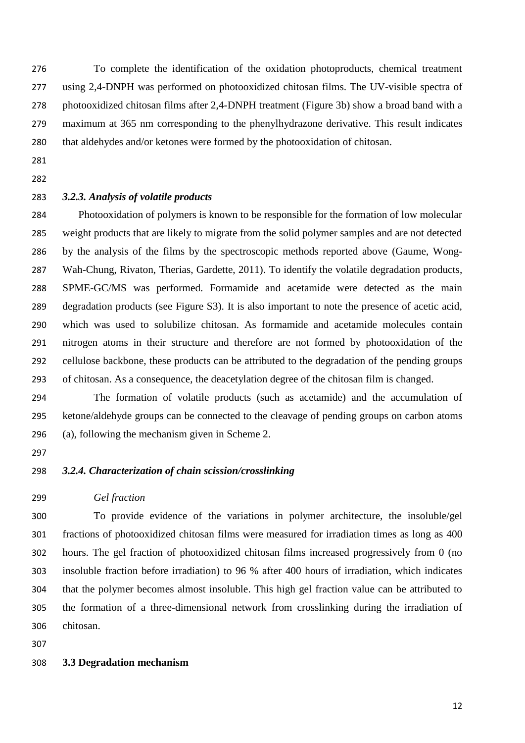To complete the identification of the oxidation photoproducts, chemical treatment using 2,4-DNPH was performed on photooxidized chitosan films. The UV-visible spectra of photooxidized chitosan films after 2,4-DNPH treatment (Figure 3b) show a broad band with a maximum at 365 nm corresponding to the phenylhydrazone derivative. This result indicates that aldehydes and/or ketones were formed by the photooxidation of chitosan.

 

#### *3.2.3. Analysis of volatile products*

 Photooxidation of polymers is known to be responsible for the formation of low molecular weight products that are likely to migrate from the solid polymer samples and are not detected by the analysis of the films by the spectroscopic methods reported above (Gaume, Wong- Wah-Chung, Rivaton, Therias, Gardette, 2011). To identify the volatile degradation products, SPME-GC/MS was performed. Formamide and acetamide were detected as the main degradation products (see Figure S3). It is also important to note the presence of acetic acid, which was used to solubilize chitosan. As formamide and acetamide molecules contain nitrogen atoms in their structure and therefore are not formed by photooxidation of the cellulose backbone, these products can be attributed to the degradation of the pending groups of chitosan. As a consequence, the deacetylation degree of the chitosan film is changed.

 The formation of volatile products (such as acetamide) and the accumulation of ketone/aldehyde groups can be connected to the cleavage of pending groups on carbon atoms (a), following the mechanism given in Scheme 2.

### *3.2.4. Characterization of chain scission/crosslinking*

*Gel fraction*

 To provide evidence of the variations in polymer architecture, the insoluble/gel fractions of photooxidized chitosan films were measured for irradiation times as long as 400 hours. The gel fraction of photooxidized chitosan films increased progressively from 0 (no insoluble fraction before irradiation) to 96 % after 400 hours of irradiation, which indicates that the polymer becomes almost insoluble. This high gel fraction value can be attributed to the formation of a three-dimensional network from crosslinking during the irradiation of chitosan.

#### **3.3 Degradation mechanism**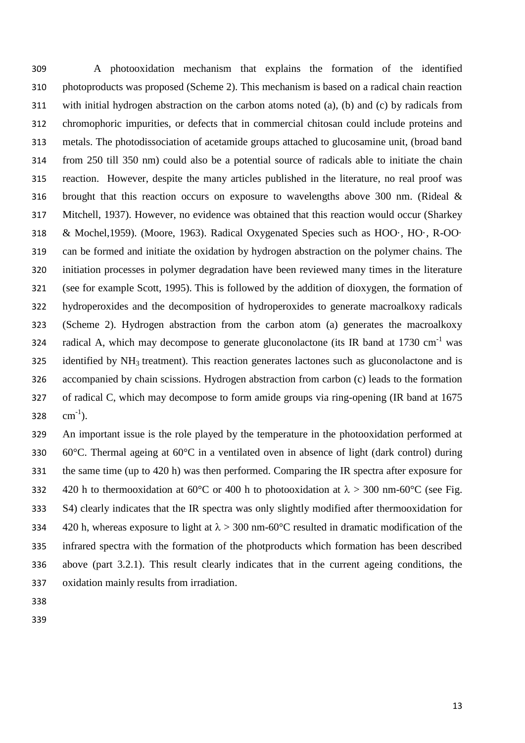A photooxidation mechanism that explains the formation of the identified photoproducts was proposed (Scheme 2). This mechanism is based on a radical chain reaction with initial hydrogen abstraction on the carbon atoms noted (a), (b) and (c) by radicals from chromophoric impurities, or defects that in commercial chitosan could include proteins and metals. The photodissociation of acetamide groups attached to glucosamine unit, (broad band from 250 till 350 nm) could also be a potential source of radicals able to initiate the chain reaction. However, despite the many articles published in the literature, no real proof was brought that this reaction occurs on exposure to wavelengths above 300 nm. (Rideal & Mitchell, 1937). However, no evidence was obtained that this reaction would occur (Sharkey & Mochel,1959). (Moore, 1963). Radical Oxygenated Species such as HOO·, HO·, R-OO· can be formed and initiate the oxidation by hydrogen abstraction on the polymer chains. The initiation processes in polymer degradation have been reviewed many times in the literature (see for example Scott, 1995). This is followed by the addition of dioxygen, the formation of hydroperoxides and the decomposition of hydroperoxides to generate macroalkoxy radicals (Scheme 2). Hydrogen abstraction from the carbon atom (a) generates the macroalkoxy 324 radical A, which may decompose to generate gluconolactone (its IR band at  $1730 \text{ cm}^{-1}$  was identified by NH3 treatment). This reaction generates lactones such as gluconolactone and is accompanied by chain scissions. Hydrogen abstraction from carbon (c) leads to the formation of radical C, which may decompose to form amide groups via ring-opening (IR band at 1675 328 cm<sup>-1</sup>).

 An important issue is the role played by the temperature in the photooxidation performed at 60°C. Thermal ageing at 60°C in a ventilated oven in absence of light (dark control) during the same time (up to 420 h) was then performed. Comparing the IR spectra after exposure for 332 420 h to thermooxidation at 60°C or 400 h to photooxidation at  $\lambda > 300$  nm-60°C (see Fig. S4) clearly indicates that the IR spectra was only slightly modified after thermooxidation for 334 420 h, whereas exposure to light at  $\lambda > 300$  nm-60°C resulted in dramatic modification of the infrared spectra with the formation of the photproducts which formation has been described above (part 3.2.1). This result clearly indicates that in the current ageing conditions, the oxidation mainly results from irradiation.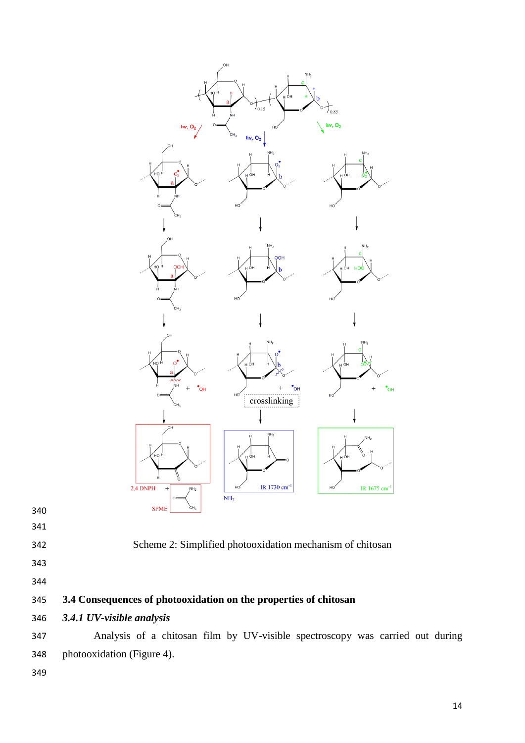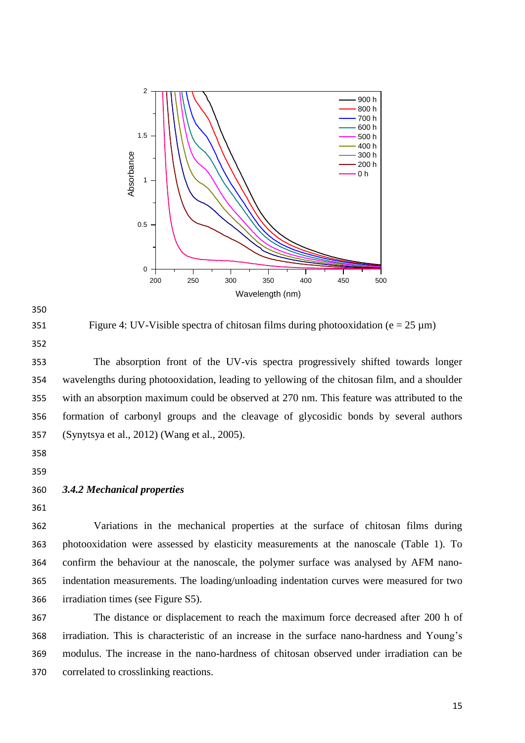

351 Figure 4: UV-Visible spectra of chitosan films during photooxidation ( $e = 25 \mu m$ )

 The absorption front of the UV-vis spectra progressively shifted towards longer wavelengths during photooxidation, leading to yellowing of the chitosan film, and a shoulder with an absorption maximum could be observed at 270 nm. This feature was attributed to the formation of carbonyl groups and the cleavage of glycosidic bonds by several authors (Synytsya et al., 2012) (Wang et al., 2005).

- 
- 

# *3.4.2 Mechanical properties*

 Variations in the mechanical properties at the surface of chitosan films during photooxidation were assessed by elasticity measurements at the nanoscale (Table 1). To confirm the behaviour at the nanoscale, the polymer surface was analysed by AFM nano- indentation measurements. The loading/unloading indentation curves were measured for two irradiation times (see Figure S5).

 The distance or displacement to reach the maximum force decreased after 200 h of irradiation. This is characteristic of an increase in the surface nano-hardness and Young's modulus. The increase in the nano-hardness of chitosan observed under irradiation can be correlated to crosslinking reactions.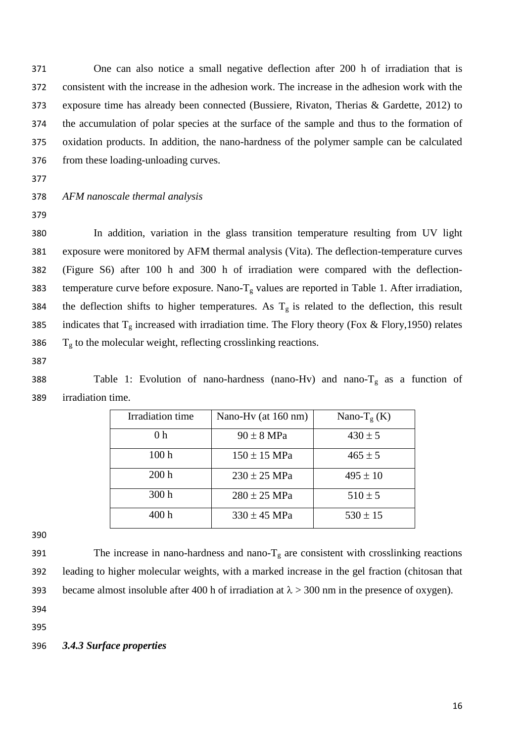One can also notice a small negative deflection after 200 h of irradiation that is consistent with the increase in the adhesion work. The increase in the adhesion work with the exposure time has already been connected (Bussiere, Rivaton, Therias & Gardette, 2012) to the accumulation of polar species at the surface of the sample and thus to the formation of oxidation products. In addition, the nano-hardness of the polymer sample can be calculated from these loading-unloading curves.

### *AFM nanoscale thermal analysis*

 In addition, variation in the glass transition temperature resulting from UV light exposure were monitored by AFM thermal analysis (Vita). The deflection-temperature curves (Figure S6) after 100 h and 300 h of irradiation were compared with the deflection-383 temperature curve before exposure. Nano- $T_g$  values are reported in Table 1. After irradiation, 384 the deflection shifts to higher temperatures. As  $T_g$  is related to the deflection, this result 385 indicates that  $T_g$  increased with irradiation time. The Flory theory (Fox & Flory, 1950) relates 386  $T_g$  to the molecular weight, reflecting crosslinking reactions.

388 Table 1: Evolution of nano-hardness (nano-Hv) and nano- $T_g$  as a function of irradiation time.

| Irradiation time | Nano-Hy (at 160 nm) | Nano-T <sub>g</sub> (K) |
|------------------|---------------------|-------------------------|
| 0 h              | $90 \pm 8$ MPa      | $430 \pm 5$             |
| 100 <sub>h</sub> | $150 \pm 15$ MPa    | $465 \pm 5$             |
| 200 h            | $230 \pm 25$ MPa    | $495 \pm 10$            |
| 300h             | $280 \pm 25$ MPa    | $510 \pm 5$             |
| 400 h            | $330 \pm 45$ MPa    | $530 \pm 15$            |

391 The increase in nano-hardness and nano- $T_g$  are consistent with crosslinking reactions leading to higher molecular weights, with a marked increase in the gel fraction (chitosan that 393 became almost insoluble after 400 h of irradiation at  $\lambda > 300$  nm in the presence of oxygen).

# *3.4.3 Surface properties*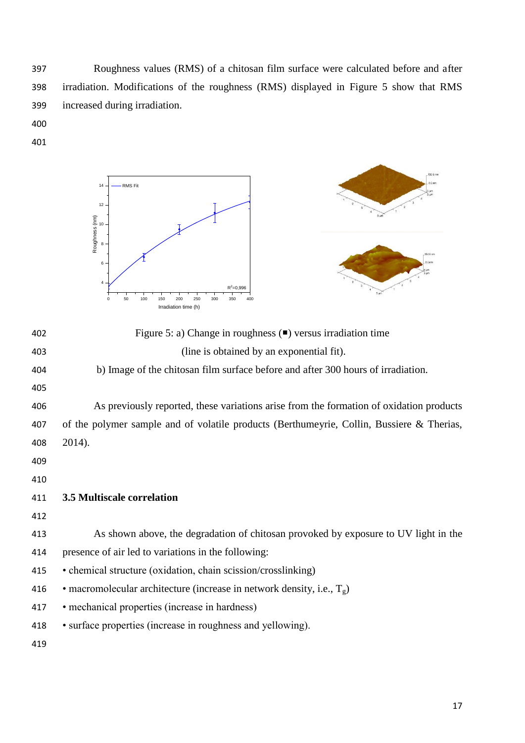Roughness values (RMS) of a chitosan film surface were calculated before and after irradiation. Modifications of the roughness (RMS) displayed in Figure 5 show that RMS increased during irradiation.



| 402 | Figure 5: a) Change in roughness $(\blacksquare)$ versus irradiation time                 |
|-----|-------------------------------------------------------------------------------------------|
| 403 | (line is obtained by an exponential fit).                                                 |
| 404 | b) Image of the chitosan film surface before and after 300 hours of irradiation.          |
| 405 |                                                                                           |
| 406 | As previously reported, these variations arise from the formation of oxidation products   |
| 407 | of the polymer sample and of volatile products (Berthumeyrie, Collin, Bussiere & Therias, |
| 408 | 2014).                                                                                    |
| 409 |                                                                                           |
| 410 |                                                                                           |
| 411 | 3.5 Multiscale correlation                                                                |
| 412 |                                                                                           |
| 413 | As shown above, the degradation of chitosan provoked by exposure to UV light in the       |
| 414 | presence of air led to variations in the following:                                       |
| 415 | • chemical structure (oxidation, chain scission/crosslinking)                             |
| 416 | • macromolecular architecture (increase in network density, i.e., $T_g$ )                 |
| 417 | • mechanical properties (increase in hardness)                                            |
| 418 | • surface properties (increase in roughness and yellowing).                               |
| 419 |                                                                                           |
|     |                                                                                           |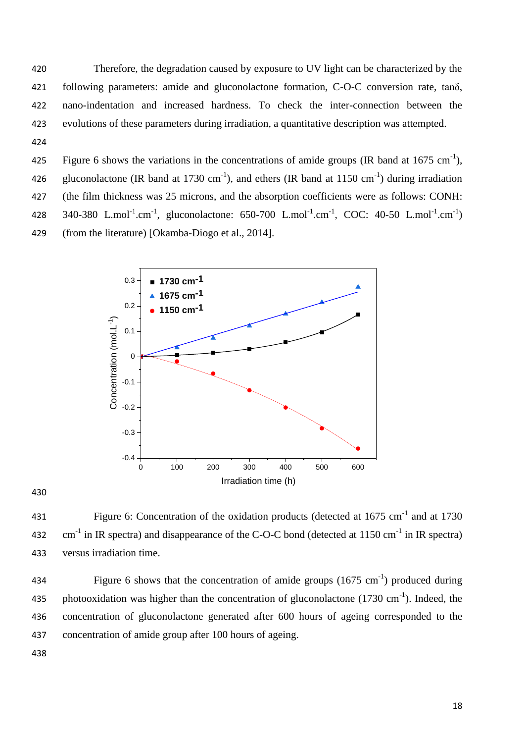Therefore, the degradation caused by exposure to UV light can be characterized by the following parameters: amide and gluconolactone formation, C-O-C conversion rate, tanδ, nano-indentation and increased hardness. To check the inter-connection between the evolutions of these parameters during irradiation, a quantitative description was attempted.

424

425 Figure 6 shows the variations in the concentrations of amide groups (IR band at  $1675 \text{ cm}^{-1}$ ), 426 gluconolactone (IR band at 1730 cm<sup>-1</sup>), and ethers (IR band at 1150 cm<sup>-1</sup>) during irradiation 427 (the film thickness was 25 microns, and the absorption coefficients were as follows: CONH: 428 340-380 L.mol<sup>-1</sup>.cm<sup>-1</sup>, gluconolactone: 650-700 L.mol<sup>-1</sup>.cm<sup>-1</sup>, COC: 40-50 L.mol<sup>-1</sup>.cm<sup>-1</sup>) 429 (from the literature) [Okamba-Diogo et al., 2014].





431 Figure 6: Concentration of the oxidation products (detected at  $1675 \text{ cm}^{-1}$  and at 1730 432 cm<sup>-1</sup> in IR spectra) and disappearance of the C-O-C bond (detected at 1150 cm<sup>-1</sup> in IR spectra) 433 versus irradiation time.

434 Figure 6 shows that the concentration of amide groups  $(1675 \text{ cm}^{-1})$  produced during 435 photooxidation was higher than the concentration of gluconolactone  $(1730 \text{ cm}^{-1})$ . Indeed, the 436 concentration of gluconolactone generated after 600 hours of ageing corresponded to the 437 concentration of amide group after 100 hours of ageing.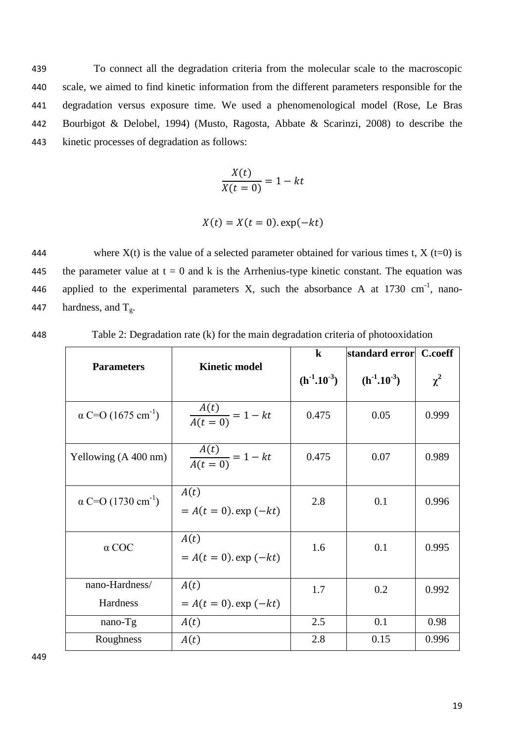To connect all the degradation criteria from the molecular scale to the macroscopic scale, we aimed to find kinetic information from the different parameters responsible for the degradation versus exposure time. We used a phenomenological model (Rose, Le Bras Bourbigot & Delobel, 1994) (Musto, Ragosta, Abbate & Scarinzi, 2008) to describe the kinetic processes of degradation as follows:

$$
\frac{X(t)}{X(t=0)} = 1 - kt
$$

$$
X(t) = X(t = 0). \exp(-kt)
$$

444 where  $X(t)$  is the value of a selected parameter obtained for various times t,  $X(t=0)$  is 445 the parameter value at  $t = 0$  and k is the Arrhenius-type kinetic constant. The equation was 446 applied to the experimental parameters X, such the absorbance A at 1730 cm<sup>-1</sup>, nano-447 hardness, and  $T_g$ .

448 Table 2: Degradation rate (k) for the main degradation criteria of photooxidation

|                                       |                                    | $\mathbf k$        | standard error     | <b>C.coeff</b> |
|---------------------------------------|------------------------------------|--------------------|--------------------|----------------|
| <b>Parameters</b>                     | <b>Kinetic model</b>               | $(h^{-1}.10^{-3})$ | $(h^{-1}.10^{-3})$ | $\chi^2$       |
| $\alpha$ C=O (1675 cm <sup>-1</sup> ) | $\frac{A(t)}{A(t=0)} = 1 - kt$     | 0.475              | 0.05               | 0.999          |
| Yellowing $(A 400 nm)$                | $\frac{A(t)}{A(t=0)} = 1 - kt$     | 0.475              | 0.07               | 0.989          |
| $\alpha$ C=O (1730 cm <sup>-1</sup> ) | A(t)<br>$= A(t = 0)$ . exp $(-kt)$ | 2.8                | 0.1                | 0.996          |
| $\alpha$ COC                          | A(t)<br>$= A(t = 0)$ . exp $(-kt)$ | 1.6                | 0.1                | 0.995          |
| nano-Hardness/                        | A(t)                               | 1.7                | 0.2                | 0.992          |
| Hardness                              | $= A(t = 0)$ . exp $(-kt)$         |                    |                    |                |
| $nano-Tg$                             | A(t)                               | 2.5                | 0.1                | 0.98           |
| Roughness                             | A(t)                               | 2.8                | 0.15               | 0.996          |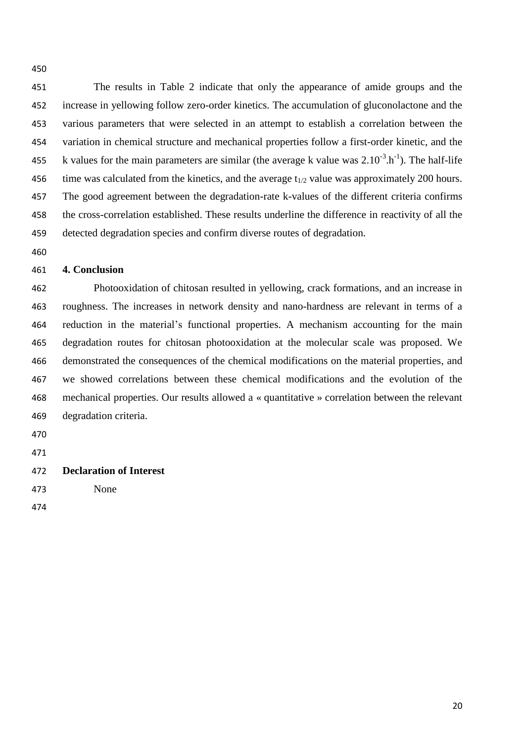The results in Table 2 indicate that only the appearance of amide groups and the increase in yellowing follow zero-order kinetics. The accumulation of gluconolactone and the various parameters that were selected in an attempt to establish a correlation between the variation in chemical structure and mechanical properties follow a first-order kinetic, and the 455 k values for the main parameters are similar (the average k value was  $2.10^{-3}$ .h<sup>-1</sup>). The half-life 456 time was calculated from the kinetics, and the average  $t_{1/2}$  value was approximately 200 hours. The good agreement between the degradation-rate k-values of the different criteria confirms the cross-correlation established. These results underline the difference in reactivity of all the detected degradation species and confirm diverse routes of degradation.

## **4. Conclusion**

 Photooxidation of chitosan resulted in yellowing, crack formations, and an increase in roughness. The increases in network density and nano-hardness are relevant in terms of a reduction in the material's functional properties. A mechanism accounting for the main degradation routes for chitosan photooxidation at the molecular scale was proposed. We demonstrated the consequences of the chemical modifications on the material properties, and we showed correlations between these chemical modifications and the evolution of the mechanical properties. Our results allowed a « quantitative » correlation between the relevant degradation criteria.

- 
- 

# **Declaration of Interest**

- None
-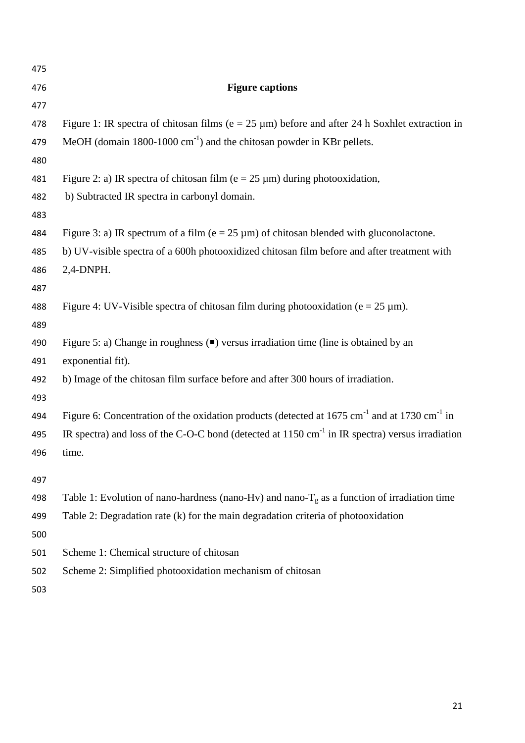| 475 |                                                                                                                        |
|-----|------------------------------------------------------------------------------------------------------------------------|
| 476 | <b>Figure captions</b>                                                                                                 |
| 477 |                                                                                                                        |
| 478 | Figure 1: IR spectra of chitosan films ( $e = 25 \mu m$ ) before and after 24 h Soxhlet extraction in                  |
| 479 | MeOH (domain $1800-1000$ cm <sup>-1</sup> ) and the chitosan powder in KBr pellets.                                    |
| 480 |                                                                                                                        |
| 481 | Figure 2: a) IR spectra of chitosan film ( $e = 25 \mu m$ ) during photooxidation,                                     |
| 482 | b) Subtracted IR spectra in carbonyl domain.                                                                           |
| 483 |                                                                                                                        |
| 484 | Figure 3: a) IR spectrum of a film ( $e = 25 \mu m$ ) of chitosan blended with gluconolactone.                         |
| 485 | b) UV-visible spectra of a 600h photooxidized chitosan film before and after treatment with                            |
| 486 | 2,4-DNPH.                                                                                                              |
| 487 |                                                                                                                        |
| 488 | Figure 4: UV-Visible spectra of chitosan film during photooxidation ( $e = 25 \mu m$ ).                                |
| 489 |                                                                                                                        |
| 490 | Figure 5: a) Change in roughness $($ $\blacksquare$ ) versus irradiation time (line is obtained by an                  |
| 491 | exponential fit).                                                                                                      |
| 492 | b) Image of the chitosan film surface before and after 300 hours of irradiation.                                       |
| 493 |                                                                                                                        |
| 494 | Figure 6: Concentration of the oxidation products (detected at $1675 \text{ cm}^{-1}$ and at $1730 \text{ cm}^{-1}$ in |
| 495 | IR spectra) and loss of the C-O-C bond (detected at $1150 \text{ cm}^{-1}$ in IR spectra) versus irradiation           |
| 496 | time.                                                                                                                  |
| 497 |                                                                                                                        |
| 498 | Table 1: Evolution of nano-hardness (nano-Hv) and nano-T <sub>g</sub> as a function of irradiation time                |
| 499 | Table 2: Degradation rate (k) for the main degradation criteria of photooxidation                                      |
| 500 |                                                                                                                        |
| 501 | Scheme 1: Chemical structure of chitosan                                                                               |
| 502 | Scheme 2: Simplified photooxidation mechanism of chitosan                                                              |
|     |                                                                                                                        |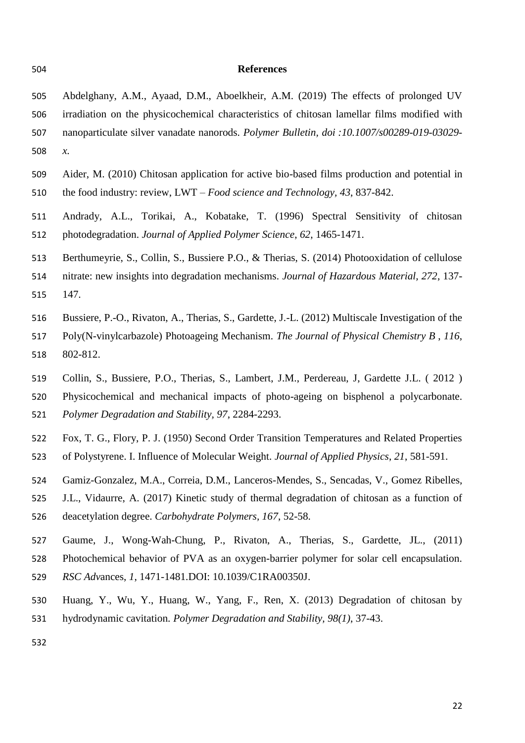**References** Abdelghany, A.M., Ayaad, D.M., Aboelkheir, A.M. (2019) The effects of prolonged UV irradiation on the physicochemical characteristics of chitosan lamellar films modified with nanoparticulate silver vanadate nanorods. *Polymer Bulletin, doi :10.1007/s00289-019-03029- x.* Aider, M. (2010) Chitosan application for active bio-based films production and potential in the food industry: review, LWT – *Food science and Technology, 43*, 837-842. Andrady, A.L., Torikai, A., Kobatake, T. (1996) Spectral Sensitivity of chitosan photodegradation. *Journal of Applied Polymer Science*, *62*, 1465-1471. Berthumeyrie, S., Collin, S., Bussiere P.O., & Therias, S. (2014) Photooxidation of cellulose nitrate: new insights into degradation mechanisms. *Journal of Hazardous Material, 272*, 137- 147. Bussiere, P.-O., Rivaton, A., Therias, S., Gardette, J.-L. (2012) Multiscale Investigation of the Poly(N-vinylcarbazole) Photoageing Mechanism. *The Journal of Physical Chemistry B* , *116*, 802-812. Collin, S., Bussiere, P.O., Therias, S., Lambert, J.M., Perdereau, J, Gardette J.L. ( 2012 ) Physicochemical and mechanical impacts of photo-ageing on bisphenol a polycarbonate. *Polymer Degradation and Stability, 97*, 2284-2293. Fox, T. G., Flory, P. J. (1950) Second Order Transition Temperatures and Related Properties of Polystyrene. I. Influence of Molecular Weight. *Journal of Applied Physics*, *21*, 581-591. Gamiz-Gonzalez, M.A., Correia, D.M., Lanceros-Mendes, S., Sencadas, V., Gomez Ribelles, J.L., Vidaurre, A. (2017) Kinetic study of thermal degradation of chitosan as a function of deacetylation degree. *Carbohydrate Polymers, 167*, 52-58. Gaume, J., Wong-Wah-Chung, P., Rivaton, A., Therias, S., Gardette, JL., (2011) Photochemical behavior of PVA as an oxygen-barrier polymer for solar cell encapsulation. *RSC Adv*ances, *1*, 1471-1481.DOI: 10.1039/C1RA00350J.

- Huang, Y., Wu, Y., Huang, W., Yang, F., Ren, X. (2013) Degradation of chitosan by
- hydrodynamic cavitation. *Polymer Degradation and Stability, 98(1)*, 37-43.
-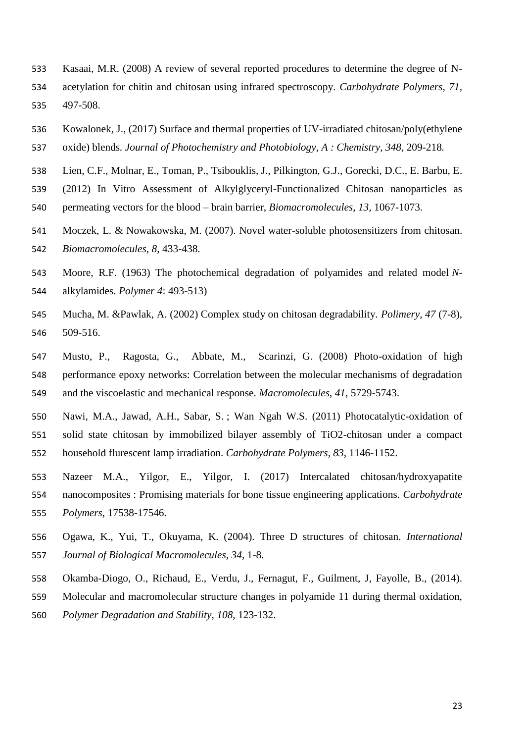- Kasaai, M.R. (2008) A review of several reported procedures to determine the degree of N- acetylation for chitin and chitosan using infrared spectroscopy. *Carbohydrate Polymers, 71,* 497-508.
- Kowalonek, J., (2017) Surface and thermal properties of UV-irradiated chitosan/poly(ethylene
- oxide) blends*. Journal of Photochemistry and Photobiology, A : Chemistry, 348,* 209-218*.*
- Lien, C.F., Molnar, E., Toman, P., Tsibouklis, J., Pilkington, G.J., Gorecki, D.C., E. Barbu, E.
- (2012) In Vitro Assessment of Alkylglyceryl-Functionalized Chitosan nanoparticles as
- permeating vectors for the blood brain barrier, *Biomacromolecules*, *13,* 1067-1073.
- Moczek, L. & Nowakowska, M. (2007). Novel water-soluble photosensitizers from chitosan. *Biomacromolecules, 8*, 433-438.
- Moore, R.F. (1963) The photochemical degradation of polyamides and related model *N*-alkylamides. *Polymer 4*: 493-513)
- Mucha, M. &Pawlak, A. (2002) Complex study on chitosan degradability. *Polimery, 47* (7-8), 509-516.
- Musto, P., Ragosta, G., Abbate, M., Scarinzi, G. (2008) Photo-oxidation of high performance epoxy networks: Correlation between the molecular mechanisms of degradation and the viscoelastic and mechanical response. *Macromolecules*, *41*, 5729-5743.
- Nawi, M.A., Jawad, A.H., Sabar, S. ; Wan Ngah W.S. (2011) Photocatalytic-oxidation of
- solid state chitosan by immobilized bilayer assembly of TiO2-chitosan under a compact
- household flurescent lamp irradiation. *Carbohydrate Polymers, 83*, 1146-1152.
- Nazeer M.A., Yilgor, E., Yilgor, I. (2017) Intercalated chitosan/hydroxyapatite nanocomposites : Promising materials for bone tissue engineering applications. *Carbohydrate Polymers*, 17538-17546.
- Ogawa, K., Yui, T., Okuyama, K. (2004). Three D structures of chitosan. *International Journal of Biological Macromolecules*, *34*, 1-8.
- Okamba-Diogo, O., Richaud, E., Verdu, J., Fernagut, F., Guilment, J, Fayolle, B., (2014).
- Molecular and macromolecular structure changes in polyamide 11 during thermal oxidation,
- *Polymer Degradation and Stability*, *108*, 123-132.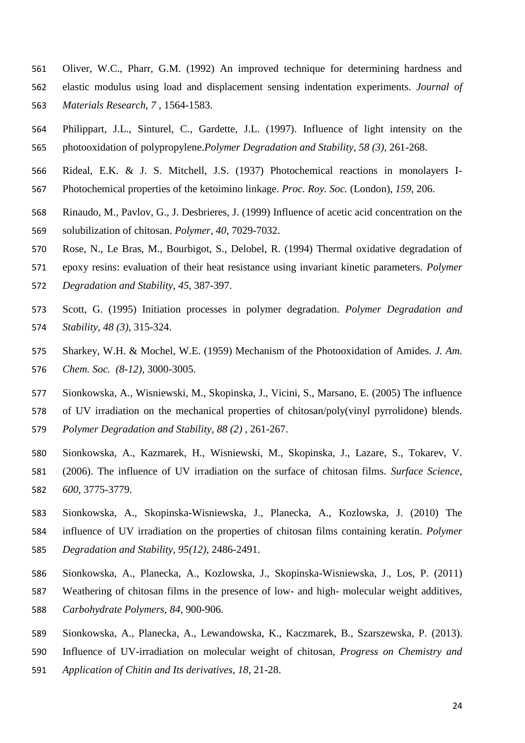- Oliver, W.C., Pharr, G.M. (1992) An improved technique for determining hardness and elastic modulus using load and displacement sensing indentation experiments. *Journal of Materials Research*, *7* , 1564-1583.
- Philippart, J.L., Sinturel, C., Gardette, J.L. (1997). Influence of light intensity on the photooxidation of polypropylene.*Polymer Degradation and Stability, 58 (3)*, 261-268.
- Rideal, E.K. & J. S. Mitchell, J.S. (1937) Photochemical reactions in monolayers I-Photochemical properties of the ketoimino linkage. *Proc. Roy. Soc.* (London), *159*, 206.
- Rinaudo, M., Pavlov, G., J. Desbrieres, J. (1999) Influence of acetic acid concentration on the solubilization of chitosan. *Polymer, 40*, 7029-7032.
- Rose, N., Le Bras, M., Bourbigot, S., Delobel, R. (1994) Thermal oxidative degradation of
- epoxy resins: evaluation of their heat resistance using invariant kinetic parameters. *Polymer*
- *Degradation and Stability*, *45*, 387-397.
- Scott, G. (1995) Initiation processes in polymer degradation. *Polymer Degradation and Stability*, *48 (3)*, 315-324.
- Sharkey, W.H. & Mochel, W.E. (1959) Mechanism of the Photooxidation of Amides. *J. Am. Chem. Soc. (8-12),* 3000-3005.
- Sionkowska, A., Wisniewski, M., Skopinska, J., Vicini, S., Marsano, E. (2005) The influence of UV irradiation on the mechanical properties of chitosan/poly(vinyl pyrrolidone) blends. *Polymer Degradation and Stability, 88 (2)* , 261-267.
- Sionkowska, A., Kazmarek, H., Wisniewski, M., Skopinska, J., Lazare, S., Tokarev, V. (2006). The influence of UV irradiation on the surface of chitosan films. *Surface Science, 600,* 3775-3779.
- Sionkowska, A., Skopinska-Wisniewska, J., Planecka, A., Kozlowska, J. (2010) The influence of UV irradiation on the properties of chitosan films containing keratin. *Polymer Degradation and Stability, 95(12)*, 2486-2491.
- Sionkowska, A., Planecka, A., Kozlowska, J., Skopinska-Wisniewska, J., Los, P. (2011) Weathering of chitosan films in the presence of low- and high- molecular weight additives, *Carbohydrate Polymers, 84*, 900-906.
- Sionkowska, A., Planecka, A., Lewandowska, K., Kaczmarek, B., Szarszewska, P. (2013).
- Influence of UV-irradiation on molecular weight of chitosan, *Progress on Chemistry and*
- *Application of Chitin and Its derivatives, 18*, 21-28.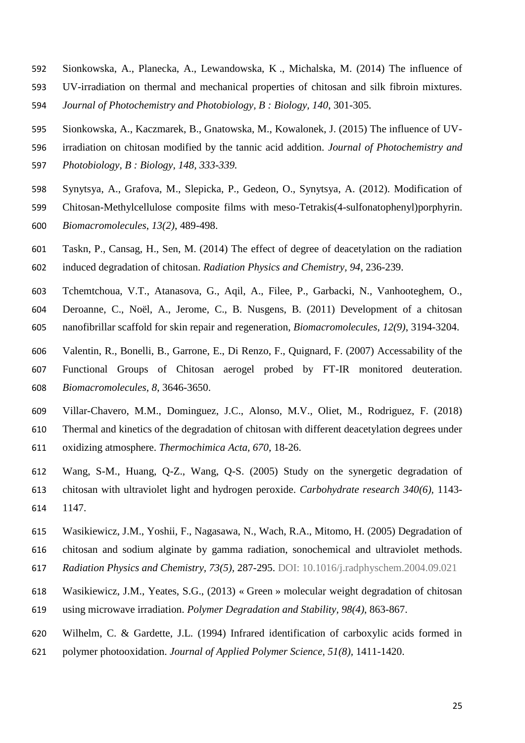- Sionkowska, A., Planecka, A., Lewandowska, K ., Michalska, M. (2014) The influence of
- UV-irradiation on thermal and mechanical properties of chitosan and silk fibroin mixtures.
- *Journal of Photochemistry and Photobiology, B : Biology, 140*, 301-305.
- Sionkowska, A., Kaczmarek, B., Gnatowska, M., Kowalonek, J. (2015) The influence of UV-
- irradiation on chitosan modified by the tannic acid addition. *Journal of Photochemistry and*
- *Photobiology, B : Biology, 148, 333-339.*
- Synytsya, A., Grafova, M., Slepicka, P., Gedeon, O., Synytsya, A. (2012). Modification of
- Chitosan-Methylcellulose composite films with meso-Tetrakis(4-sulfonatophenyl)porphyrin.
- *Biomacromolecules*, *13(2)*, 489-498.
- Taskn, P., Cansag, H., Sen, M. (2014) The effect of degree of deacetylation on the radiation induced degradation of chitosan. *Radiation Physics and Chemistry, 94*, 236-239.
- Tchemtchoua, V.T., Atanasova, G., Aqil, A., Filee, P., Garbacki, N., Vanhooteghem, O.,
- Deroanne, C., Noël, A., Jerome, C., B. Nusgens, B. (2011) Development of a chitosan nanofibrillar scaffold for skin repair and regeneration, *Biomacromolecules*, *12(9)*, 3194-3204.
- Valentin, R., Bonelli, B., Garrone, E., Di Renzo, F., Quignard, F. (2007) Accessability of the Functional Groups of Chitosan aerogel probed by FT-IR monitored deuteration. *Biomacromolecules, 8*, 3646-3650.
- Villar-Chavero, M.M., Dominguez, J.C., Alonso, M.V., Oliet, M., Rodriguez, F. (2018)
- Thermal and kinetics of the degradation of chitosan with different deacetylation degrees under oxidizing atmosphere. *Thermochimica Acta, 670*, 18-26.
- Wang, S-M., Huang, Q-Z., Wang, Q-S. (2005) Study on the synergetic degradation of chitosan with ultraviolet light and hydrogen peroxide. *Carbohydrate research 340(6),* 1143- 1147.
- Wasikiewicz, J.M., Yoshii, F., Nagasawa, N., Wach, R.A., Mitomo, H. (2005) Degradation of
- chitosan and sodium alginate by gamma radiation, sonochemical and ultraviolet methods.
- *Radiation Physics and Chemistry, 73(5),* 287-295. DOI: 10.1016/j.radphyschem.2004.09.021
- Wasikiewicz, J.M., Yeates, S.G., (2013) « Green » molecular weight degradation of chitosan using microwave irradiation. *Polymer Degradation and Stability, 98(4)*, 863-867.
- Wilhelm, C. & Gardette, J.L. (1994) Infrared identification of carboxylic acids formed in
- polymer photooxidation. *Journal of Applied Polymer Science, 51(8),* 1411-1420.